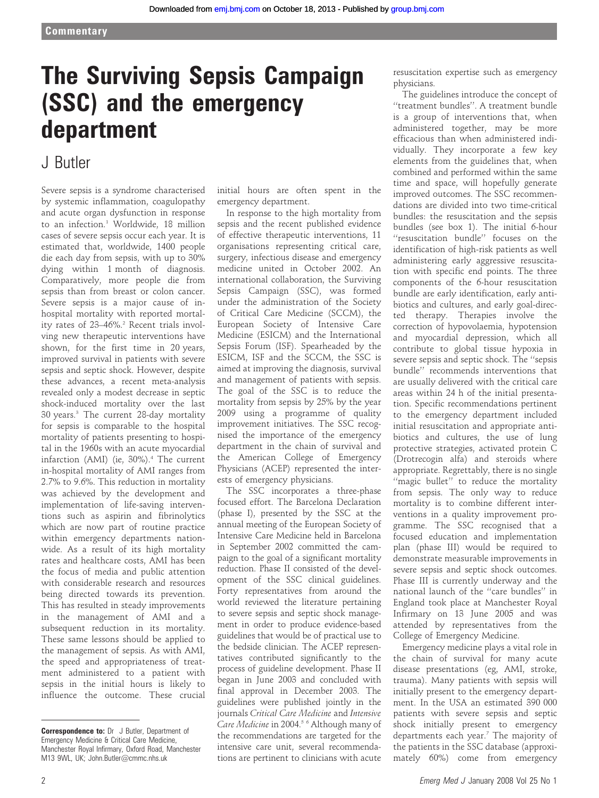# The Surviving Sepsis Campaign (SSC) and the emergency department

## J Butler

Severe sepsis is a syndrome characterised by systemic inflammation, coagulopathy and acute organ dysfunction in response to an infection.<sup>1</sup> Worldwide, 18 million cases of severe sepsis occur each year. It is estimated that, worldwide, 1400 people die each day from sepsis, with up to 30% dying within 1 month of diagnosis. Comparatively, more people die from sepsis than from breast or colon cancer. Severe sepsis is a major cause of inhospital mortality with reported mortality rates of 23–46%.<sup>2</sup> Recent trials involving new therapeutic interventions have shown, for the first time in 20 years, improved survival in patients with severe sepsis and septic shock. However, despite these advances, a recent meta-analysis revealed only a modest decrease in septic shock-induced mortality over the last 30 years.3 The current 28-day mortality for sepsis is comparable to the hospital mortality of patients presenting to hospital in the 1960s with an acute myocardial infarction (AMI) (ie,  $30\%$ ).<sup>4</sup> The current in-hospital mortality of AMI ranges from 2.7% to 9.6%. This reduction in mortality was achieved by the development and implementation of life-saving interventions such as aspirin and fibrinolytics which are now part of routine practice within emergency departments nationwide. As a result of its high mortality rates and healthcare costs, AMI has been the focus of media and public attention with considerable research and resources being directed towards its prevention. This has resulted in steady improvements in the management of AMI and a subsequent reduction in its mortality. These same lessons should be applied to the management of sepsis. As with AMI, the speed and appropriateness of treatment administered to a patient with sepsis in the initial hours is likely to influence the outcome. These crucial

initial hours are often spent in the emergency department.

In response to the high mortality from sepsis and the recent published evidence of effective therapeutic interventions, 11 organisations representing critical care, surgery, infectious disease and emergency medicine united in October 2002. An international collaboration, the Surviving Sepsis Campaign (SSC), was formed under the administration of the Society of Critical Care Medicine (SCCM), the European Society of Intensive Care Medicine (ESICM) and the International Sepsis Forum (ISF). Spearheaded by the ESICM, ISF and the SCCM, the SSC is aimed at improving the diagnosis, survival and management of patients with sepsis. The goal of the SSC is to reduce the mortality from sepsis by 25% by the year 2009 using a programme of quality improvement initiatives. The SSC recognised the importance of the emergency department in the chain of survival and the American College of Emergency Physicians (ACEP) represented the interests of emergency physicians.

The SSC incorporates a three-phase focused effort. The Barcelona Declaration (phase I), presented by the SSC at the annual meeting of the European Society of Intensive Care Medicine held in Barcelona in September 2002 committed the campaign to the goal of a significant mortality reduction. Phase II consisted of the development of the SSC clinical guidelines. Forty representatives from around the world reviewed the literature pertaining to severe sepsis and septic shock management in order to produce evidence-based guidelines that would be of practical use to the bedside clinician. The ACEP representatives contributed significantly to the process of guideline development. Phase II began in June 2003 and concluded with final approval in December 2003. The guidelines were published jointly in the journals Critical Care Medicine and Intensive Care Medicine in 2004.<sup>56</sup> Although many of the recommendations are targeted for the intensive care unit, several recommendations are pertinent to clinicians with acute

resuscitation expertise such as emergency physicians.

The guidelines introduce the concept of ''treatment bundles''. A treatment bundle is a group of interventions that, when administered together, may be more efficacious than when administered individually. They incorporate a few key elements from the guidelines that, when combined and performed within the same time and space, will hopefully generate improved outcomes. The SSC recommendations are divided into two time-critical bundles: the resuscitation and the sepsis bundles (see box 1). The initial 6-hour ''resuscitation bundle'' focuses on the identification of high-risk patients as well administering early aggressive resuscitation with specific end points. The three components of the 6-hour resuscitation bundle are early identification, early antibiotics and cultures, and early goal-directed therapy. Therapies involve the correction of hypovolaemia, hypotension and myocardial depression, which all contribute to global tissue hypoxia in severe sepsis and septic shock. The ''sepsis bundle'' recommends interventions that are usually delivered with the critical care areas within 24 h of the initial presentation. Specific recommendations pertinent to the emergency department included initial resuscitation and appropriate antibiotics and cultures, the use of lung protective strategies, activated protein C (Drotrecogin alfa) and steroids where appropriate. Regrettably, there is no single "magic bullet" to reduce the mortality from sepsis. The only way to reduce mortality is to combine different interventions in a quality improvement programme. The SSC recognised that a focused education and implementation plan (phase III) would be required to demonstrate measurable improvements in severe sepsis and septic shock outcomes. Phase III is currently underway and the national launch of the ''care bundles'' in England took place at Manchester Royal Infirmary on 13 June 2005 and was attended by representatives from the College of Emergency Medicine.

Emergency medicine plays a vital role in the chain of survival for many acute disease presentations (eg, AMI, stroke, trauma). Many patients with sepsis will initially present to the emergency department. In the USA an estimated 390 000 patients with severe sepsis and septic shock initially present to emergency departments each year.<sup>7</sup> The majority of the patients in the SSC database (approximately 60%) come from emergency

Correspondence to: Dr J Butler, Department of Emergency Medicine & Critical Care Medicine, Manchester Royal Infirmary, Oxford Road, Manchester M13 9WL, UK; John.Butler@cmmc.nhs.uk